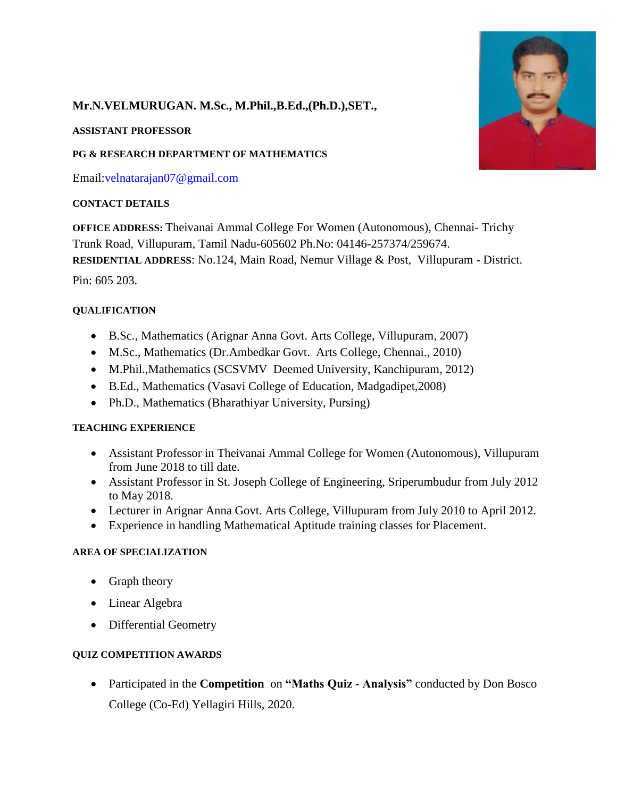# **Mr.N.VELMURUGAN. M.Sc., M.Phil.,B.Ed.,(Ph.D.),SET.,**

## **ASSISTANT PROFESSOR**

## **PG & RESEARCH DEPARTMENT OF MATHEMATICS**

Email[:velnatarajan07@gmail.com](mailto:velnatarajan07@gmail.com)

## **CONTACT DETAILS**

**OFFICE ADDRESS:** Theivanai Ammal College For Women (Autonomous), Chennai- Trichy Trunk Road, Villupuram, Tamil Nadu-605602 Ph.No: 04146-257374/259674. **RESIDENTIAL ADDRESS**: No.124, Main Road, Nemur Village & Post, Villupuram - District. Pin: 605 203.

## **QUALIFICATION**

- B.Sc., Mathematics (Arignar Anna Govt. Arts College, Villupuram, 2007)
- M.Sc., Mathematics (Dr.Ambedkar Govt. Arts College, Chennai., 2010)
- M.Phil.,Mathematics (SCSVMV Deemed University, Kanchipuram, 2012)
- B.Ed., Mathematics (Vasavi College of Education, Madgadipet,2008)
- Ph.D., Mathematics (Bharathiyar University, Pursing)

## **TEACHING EXPERIENCE**

- Assistant Professor in Theivanai Ammal College for Women (Autonomous), Villupuram from June 2018 to till date.
- Assistant Professor in St. Joseph College of Engineering, Sriperumbudur from July 2012 to May 2018.
- Lecturer in Arignar Anna Govt. Arts College, Villupuram from July 2010 to April 2012.
- Experience in handling Mathematical Aptitude training classes for Placement.

## **AREA OF SPECIALIZATION**

- Graph theory
- Linear Algebra
- Differential Geometry

## **QUIZ COMPETITION AWARDS**

 Participated in the **Competition** on **"Maths Quiz - Analysis"** conducted by Don Bosco College (Co-Ed) Yellagiri Hills, 2020.

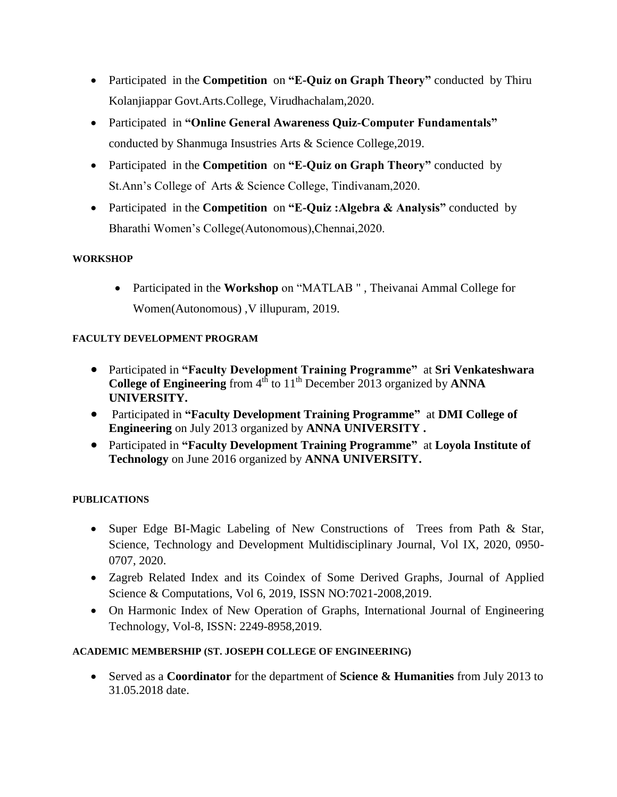- Participated in the **Competition** on "**E-Quiz on Graph Theory**" conducted by Thiru Kolanjiappar Govt.Arts.College, Virudhachalam,2020.
- Participatedin **"Online General Awareness Quiz-Computer Fundamentals"**  conducted by Shanmuga Insustries Arts & Science College,2019.
- Participated in the **Competition** on "**E-Quiz on Graph Theory**" conducted by St.Ann's College of Arts & Science College, Tindivanam,2020.
- Participated in the **Competition** on "E-Quiz: Algebra & Analysis" conducted by Bharathi Women's College(Autonomous),Chennai,2020.

## **WORKSHOP**

 Participated in the **Workshop** on "MATLAB " , Theivanai Ammal College for Women(Autonomous) ,V illupuram, 2019.

## **FACULTY DEVELOPMENT PROGRAM**

- Participated in **"Faculty Development Training Programme"** at **Sri Venkateshwara College of Engineering** from 4<sup>th</sup> to 11<sup>th</sup> December 2013 organized by **ANNA UNIVERSITY.**
- Participated in **"Faculty Development Training Programme"** at **DMI College of Engineering** on July 2013 organized by **ANNA UNIVERSITY .**
- Participated in **"Faculty Development Training Programme"** at **Loyola Institute of Technology** on June 2016 organized by **ANNA UNIVERSITY.**

## **PUBLICATIONS**

- Super Edge BI-Magic Labeling of New Constructions of Trees from Path & Star, Science, Technology and Development Multidisciplinary Journal, Vol IX, 2020, 0950- 0707, 2020.
- Zagreb Related Index and its Coindex of Some Derived Graphs, Journal of Applied Science & Computations, Vol 6, 2019, ISSN NO:7021-2008,2019.
- On Harmonic Index of New Operation of Graphs, International Journal of Engineering Technology, Vol-8, ISSN: 2249-8958,2019.

## **ACADEMIC MEMBERSHIP (ST. JOSEPH COLLEGE OF ENGINEERING)**

 Served as a **Coordinator** for the department of **Science & Humanities** from July 2013 to 31.05.2018 date.